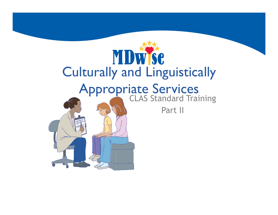# MDWSC<br>Culturally and Linguistically **Appropriate Services**<br>CLAS Standard Training Part II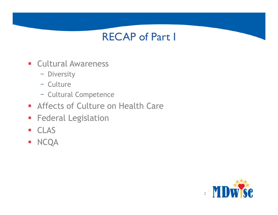#### RECAP of Part I

- **Cultural Awareness** 
	- Diversity
	- Culture
	- Cultural Competence
- **Affects of Culture on Health Care**
- **Federal Legislation**
- § CLAS
- § NCQA

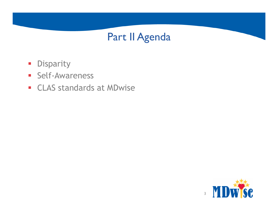#### Part II Agenda

- **•** Disparity
- § Self-Awareness
- CLAS standards at MDwise

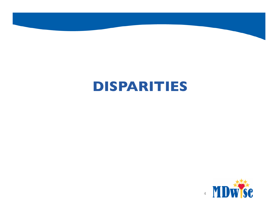## **DISPARITIES**

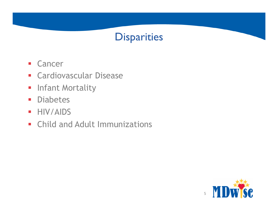

- § Cancer
- **Cardiovascular Disease**
- **Infant Mortality**
- § Diabetes
- § HIV/AIDS
- **Child and Adult Immunizations**

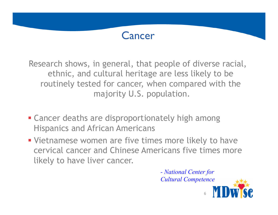#### Cancer

Research shows, in general, that people of diverse racial, ethnic, and cultural heritage are less likely to be routinely tested for cancer, when compared with the majority U.S. population.

- Cancer deaths are disproportionately high among Hispanics and African Americans
- Vietnamese women are five times more likely to have cervical cancer and Chinese Americans five times more likely to have liver cancer.

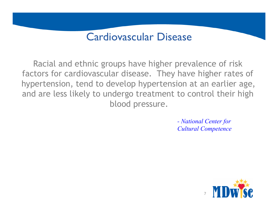#### Cardiovascular Disease

Racial and ethnic groups have higher prevalence of risk factors for cardiovascular disease. They have higher rates of hypertension, tend to develop hypertension at an earlier age, and are less likely to undergo treatment to control their high blood pressure.

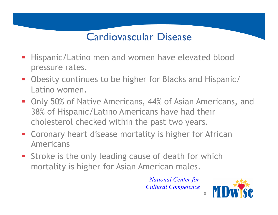#### Cardiovascular Disease

- § Hispanic/Latino men and women have elevated blood pressure rates.
- Obesity continues to be higher for Blacks and Hispanic/ Latino women.
- Only 50% of Native Americans, 44% of Asian Americans, and 38% of Hispanic/Latino Americans have had their cholesterol checked within the past two years.
- **Coronary heart disease mortality is higher for African** Americans
- Stroke is the only leading cause of death for which mortality is higher for Asian American males.

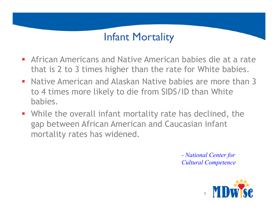#### Infant Mortality

- **African Americans and Native American babies die at a rate** that is 2 to 3 times higher than the rate for White babies.
- **Native American and Alaskan Native babies are more than 3** to 4 times more likely to die from SIDS/ID than White babies.
- While the overall infant mortality rate has declined, the gap between African American and Caucasian infant mortality rates has widened.

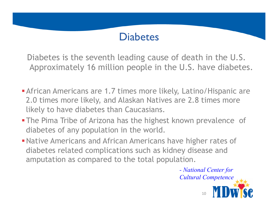#### **Diabetes**

Diabetes is the seventh leading cause of death in the U.S. Approximately 16 million people in the U.S. have diabetes.

- **African Americans are 1.7 times more likely, Latino/Hispanic are** 2.0 times more likely, and Alaskan Natives are 2.8 times more likely to have diabetes than Caucasians.
- **The Pima Tribe of Arizona has the highest known prevalence of** diabetes of any population in the world.
- **Native Americans and African Americans have higher rates of** diabetes related complications such as kidney disease and amputation as compared to the total population.

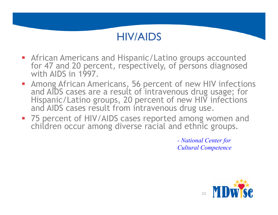#### HIV/AIDS

- **African Americans and Hispanic/Latino groups accounted** for 47 and 20 percent, respectively, of persons diagnosed with AIDS in 1997.
- Among African Americans, 56 percent of new HIV infections and AIDS cases are a result of intravenous drug usage; for Hispanic/Latino groups, 20 percent of new HIV infections and AIDS cases result from intravenous drug use.
- 75 percent of HIV/AIDS cases reported among women and children occur among diverse racial and ethnic groups.

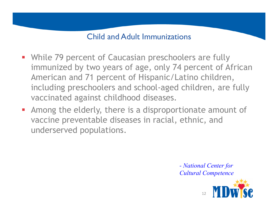#### Child and Adult Immunizations

- **While 79 percent of Caucasian preschoolers are fully** immunized by two years of age, only 74 percent of African American and 71 percent of Hispanic/Latino children, including preschoolers and school-aged children, are fully vaccinated against childhood diseases.
- **EXTERGH** Among the elderly, there is a disproportionate amount of vaccine preventable diseases in racial, ethnic, and underserved populations.

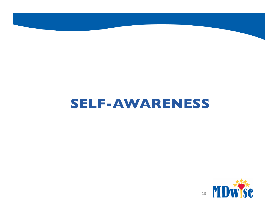## **SELF-AWARENESS**

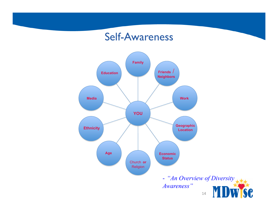#### Self-Awareness

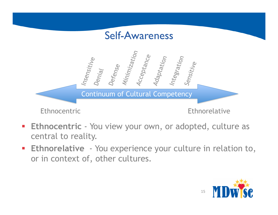

- **Ethnocentric** You view your own, or adopted, culture as central to reality.
- **Ethnorelative** You experience your culture in relation to, or in context of, other cultures.

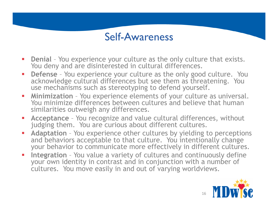#### Self-Awareness

- § **Denial** You experience your culture as the only culture that exists. You deny and are disinterested in cultural differences.
- **Defense** You experience your culture as the only good culture. You acknowledge cultural differences but see them as threatening. You use mechanisms such as stereotyping to defend yourself.
- § **Minimization** You experience elements of your culture as universal. You minimize differences between cultures and believe that human similarities outweigh any differences.
- § **Acceptance** You recognize and value cultural differences, without judging them. You are curious about different cultures.
- § **Adaptation**  You experience other cultures by yielding to perceptions and behaviors acceptable to that culture. You intentionally change your behavior to communicate more effectively in different cultures.
- § **Integration** You value a variety of cultures and continuously define your own identity in contrast and in conjunction with a number of cultures. You move easily in and out of varying worldviews.

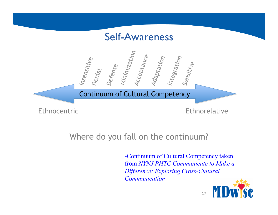

#### Where do you fall on the continuum?

-Continuum of Cultural Competency taken from *NYNJ PHTC Communicate to Make a Difference: Exploring Cross-Cultural Communication* 

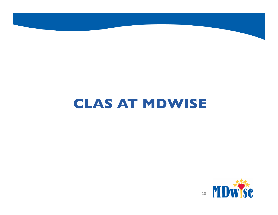# **CLAS AT MDWISE**

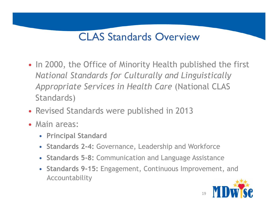#### CLAS Standards Overview

- In 2000, the Office of Minority Health published the first *National Standards for Culturally and Linguistically Appropriate Services in Health Care* (National CLAS Standards)
- Revised Standards were published in 2013
- Main areas:
	- **Principal Standard**
	- **Standards 2-4:** Governance, Leadership and Workforce
	- **Standards 5-8:** Communication and Language Assistance
	- **Standards 9-15:** Engagement, Continuous Improvement, and Accountability

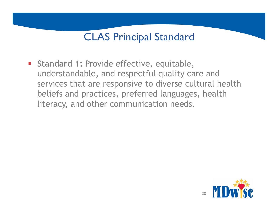#### CLAS Principal Standard

**Standard 1: Provide effective, equitable,** understandable, and respectful quality care and services that are responsive to diverse cultural health beliefs and practices, preferred languages, health literacy, and other communication needs.

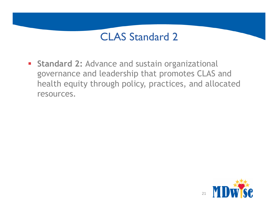**Standard 2: Advance and sustain organizational** governance and leadership that promotes CLAS and health equity through policy, practices, and allocated resources.

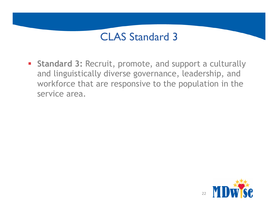**Exampte 3: Recruit, promote, and support a culturally** and linguistically diverse governance, leadership, and workforce that are responsive to the population in the service area.

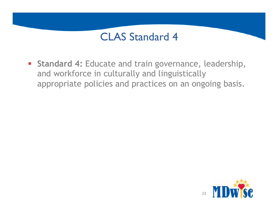**Example 1: Educate and train governance, leadership,** and workforce in culturally and linguistically appropriate policies and practices on an ongoing basis.

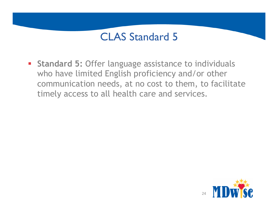**Standard 5: Offer language assistance to individuals** who have limited English proficiency and/or other communication needs, at no cost to them, to facilitate timely access to all health care and services.

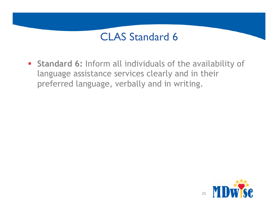§ **Standard 6:** Inform all individuals of the availability of language assistance services clearly and in their preferred language, verbally and in writing.

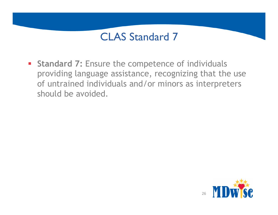**Standard 7: Ensure the competence of individuals** providing language assistance, recognizing that the use of untrained individuals and/or minors as interpreters should be avoided.

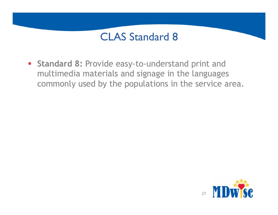§ **Standard 8:** Provide easy-to-understand print and multimedia materials and signage in the languages commonly used by the populations in the service area.

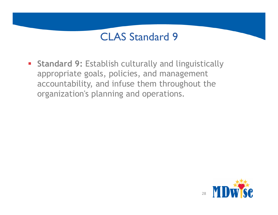**• Standard 9: Establish culturally and linguistically** appropriate goals, policies, and management accountability, and infuse them throughout the organization's planning and operations.

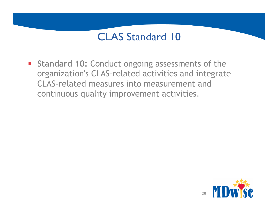**Standard 10: Conduct ongoing assessments of the** organization's CLAS-related activities and integrate CLAS-related measures into measurement and continuous quality improvement activities.

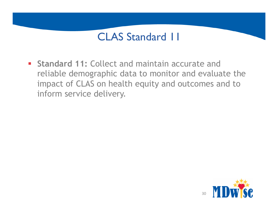**Example 11: Collect and maintain accurate and Standard 11: Collect and maintain accurate and** reliable demographic data to monitor and evaluate the impact of CLAS on health equity and outcomes and to inform service delivery.

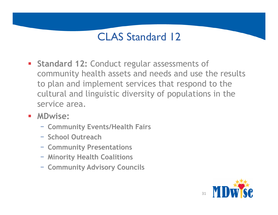- **Standard 12: Conduct regular assessments of** community health assets and needs and use the results to plan and implement services that respond to the cultural and linguistic diversity of populations in the service area.
- § **MDwise:**
	- **Community Events/Health Fairs**
	- **School Outreach**
	- **Community Presentations**
	- **Minority Health Coalitions**
	- **Community Advisory Councils**

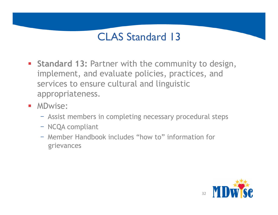- **Standard 13: Partner with the community to design,** implement, and evaluate policies, practices, and services to ensure cultural and linguistic appropriateness.
- MDwise:
	- Assist members in completing necessary procedural steps
	- NCQA compliant
	- Member Handbook includes "how to" information for grievances

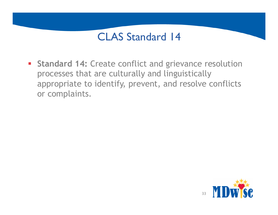**Standard 14: Create conflict and grievance resolution** processes that are culturally and linguistically appropriate to identify, prevent, and resolve conflicts or complaints.

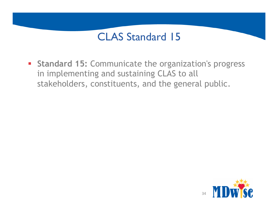**Standard 15: Communicate the organization's progress** in implementing and sustaining CLAS to all stakeholders, constituents, and the general public.

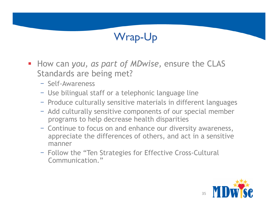#### Wrap-Up

- § How can *you, as part of MDwise,* ensure the CLAS Standards are being met?
	- Self-Awareness
	- Use bilingual staff or a telephonic language line
	- Produce culturally sensitive materials in different languages
	- Add culturally sensitive components of our special member programs to help decrease health disparities
	- Continue to focus on and enhance our diversity awareness, appreciate the differences of others, and act in a sensitive manner
	- Follow the "Ten Strategies for Effective Cross-Cultural Communication."

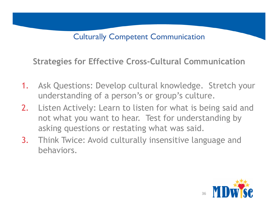Culturally Competent Communication

**Strategies for Effective Cross-Cultural Communication** 

- 1. Ask Questions: Develop cultural knowledge. Stretch your understanding of a person's or group's culture.
- 2. Listen Actively: Learn to listen for what is being said and not what you want to hear. Test for understanding by asking questions or restating what was said.
- 3. Think Twice: Avoid culturally insensitive language and behaviors.

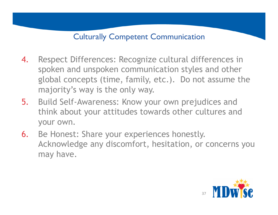#### Culturally Competent Communication

- 4. Respect Differences: Recognize cultural differences in spoken and unspoken communication styles and other global concepts (time, family, etc.). Do not assume the majority's way is the only way.
- 5. Build Self-Awareness: Know your own prejudices and think about your attitudes towards other cultures and your own.
- 6. Be Honest: Share your experiences honestly. Acknowledge any discomfort, hesitation, or concerns you may have.

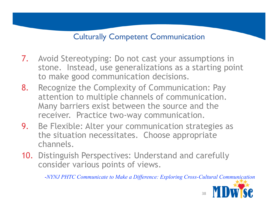#### Culturally Competent Communication

- 7. Avoid Stereotyping: Do not cast your assumptions in stone. Instead, use generalizations as a starting point to make good communication decisions.
- 8. Recognize the Complexity of Communication: Pay attention to multiple channels of communication. Many barriers exist between the source and the receiver. Practice two-way communication.
- 9. Be Flexible: Alter your communication strategies as the situation necessitates. Choose appropriate channels.
- 10. Distinguish Perspectives: Understand and carefully consider various points of views.

-*NYNJ PHTC Communicate to Make a Difference: Exploring Cross-Cultural Communication* 



38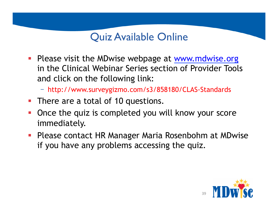#### Quiz Available Online

- Please visit the MDwise webpage at www.mdwise.org in the Clinical Webinar Series section of Provider Tools and click on the following link:
	- http://www.surveygizmo.com/s3/858180/CLAS-Standards
- There are a total of 10 questions.
- § Once the quiz is completed you will know your score immediately.
- Please contact HR Manager Maria Rosenbohm at MDwise if you have any problems accessing the quiz.